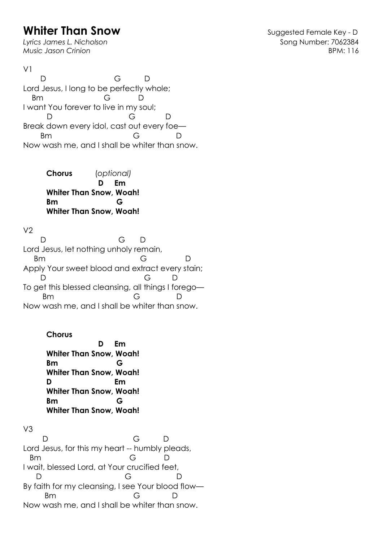## **Whiter Than Snow Constant Constant Constant Constant Constant Constant Constant Constant Constant Constant Constant Constant Constant Constant Constant Constant Constant Constant Constant Constant Constant Constant Cons**

Lyrics James L. Nicholson **Song Number: 7062384** *Music Jason Crinion* BPM: 116

D G D Lord Jesus, I long to be perfectly whole; Bm G D I want You forever to live in my soul; D G D Break down every idol, cast out every foe— Bm G D Now wash me, and I shall be whiter than snow.

> **Chorus** (*optional)*  **D Em Whiter Than Snow, Woah! Bm G Whiter Than Snow, Woah!**

 $V<sub>2</sub>$ 

 $V<sub>1</sub>$ 

 D G D Lord Jesus, let nothing unholy remain, Bm G D Apply Your sweet blood and extract every stain; D G D To get this blessed cleansing, all things I forego— Bm G D Now wash me, and I shall be whiter than snow.

**Chorus** 

 **D Em Whiter Than Snow, Woah! Bm G Whiter Than Snow, Woah! D Em Whiter Than Snow, Woah! Bm G Whiter Than Snow, Woah!**

V3 D G D Lord Jesus, for this my heart -- humbly pleads, Bm G D I wait, blessed Lord, at Your crucified feet, D G D By faith for my cleansing, I see Your blood flow— Bm G D Now wash me, and I shall be whiter than snow.